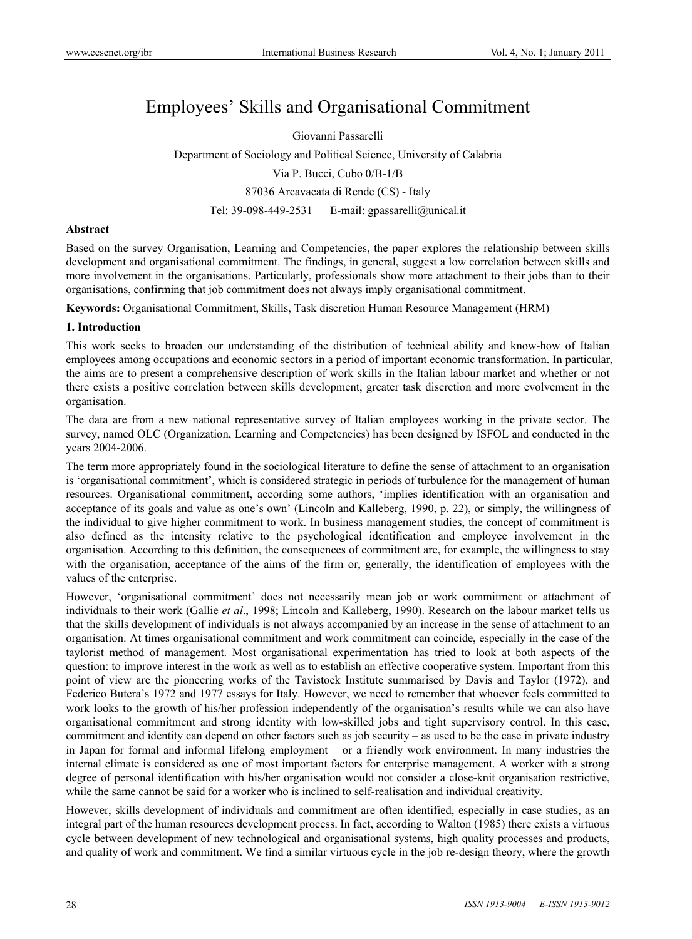# Employees' Skills and Organisational Commitment

Giovanni Passarelli Department of Sociology and Political Science, University of Calabria Via P. Bucci, Cubo 0/B-1/B 87036 Arcavacata di Rende (CS) - Italy Tel: 39-098-449-2531 E-mail: gpassarelli@unical.it

#### **Abstract**

Based on the survey Organisation, Learning and Competencies, the paper explores the relationship between skills development and organisational commitment. The findings, in general, suggest a low correlation between skills and more involvement in the organisations. Particularly, professionals show more attachment to their jobs than to their organisations, confirming that job commitment does not always imply organisational commitment.

**Keywords:** Organisational Commitment, Skills, Task discretion Human Resource Management (HRM)

#### **1. Introduction**

This work seeks to broaden our understanding of the distribution of technical ability and know-how of Italian employees among occupations and economic sectors in a period of important economic transformation. In particular, the aims are to present a comprehensive description of work skills in the Italian labour market and whether or not there exists a positive correlation between skills development, greater task discretion and more evolvement in the organisation.

The data are from a new national representative survey of Italian employees working in the private sector. The survey, named OLC (Organization, Learning and Competencies) has been designed by ISFOL and conducted in the years 2004-2006.

The term more appropriately found in the sociological literature to define the sense of attachment to an organisation is 'organisational commitment', which is considered strategic in periods of turbulence for the management of human resources. Organisational commitment, according some authors, 'implies identification with an organisation and acceptance of its goals and value as one's own' (Lincoln and Kalleberg, 1990, p. 22), or simply, the willingness of the individual to give higher commitment to work. In business management studies, the concept of commitment is also defined as the intensity relative to the psychological identification and employee involvement in the organisation. According to this definition, the consequences of commitment are, for example, the willingness to stay with the organisation, acceptance of the aims of the firm or, generally, the identification of employees with the values of the enterprise.

However, 'organisational commitment' does not necessarily mean job or work commitment or attachment of individuals to their work (Gallie *et al*., 1998; Lincoln and Kalleberg, 1990). Research on the labour market tells us that the skills development of individuals is not always accompanied by an increase in the sense of attachment to an organisation. At times organisational commitment and work commitment can coincide, especially in the case of the taylorist method of management. Most organisational experimentation has tried to look at both aspects of the question: to improve interest in the work as well as to establish an effective cooperative system. Important from this point of view are the pioneering works of the Tavistock Institute summarised by Davis and Taylor (1972), and Federico Butera's 1972 and 1977 essays for Italy. However, we need to remember that whoever feels committed to work looks to the growth of his/her profession independently of the organisation's results while we can also have organisational commitment and strong identity with low-skilled jobs and tight supervisory control. In this case, commitment and identity can depend on other factors such as job security – as used to be the case in private industry in Japan for formal and informal lifelong employment – or a friendly work environment. In many industries the internal climate is considered as one of most important factors for enterprise management. A worker with a strong degree of personal identification with his/her organisation would not consider a close-knit organisation restrictive, while the same cannot be said for a worker who is inclined to self-realisation and individual creativity.

However, skills development of individuals and commitment are often identified, especially in case studies, as an integral part of the human resources development process. In fact, according to Walton (1985) there exists a virtuous cycle between development of new technological and organisational systems, high quality processes and products, and quality of work and commitment. We find a similar virtuous cycle in the job re-design theory, where the growth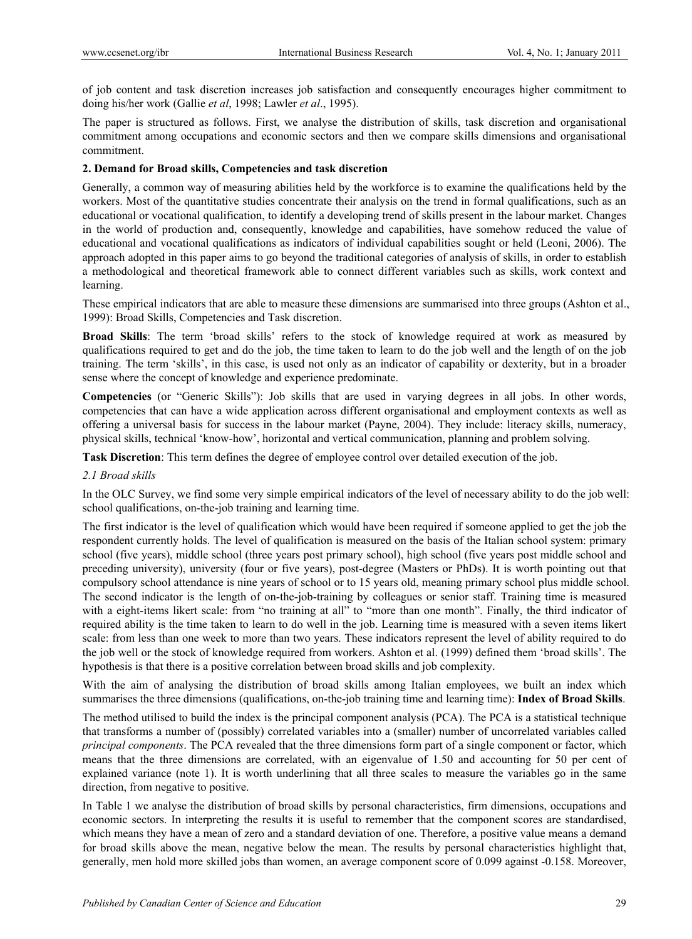of job content and task discretion increases job satisfaction and consequently encourages higher commitment to doing his/her work (Gallie *et al*, 1998; Lawler *et al*., 1995).

The paper is structured as follows. First, we analyse the distribution of skills, task discretion and organisational commitment among occupations and economic sectors and then we compare skills dimensions and organisational commitment.

## **2. Demand for Broad skills, Competencies and task discretion**

Generally, a common way of measuring abilities held by the workforce is to examine the qualifications held by the workers. Most of the quantitative studies concentrate their analysis on the trend in formal qualifications, such as an educational or vocational qualification, to identify a developing trend of skills present in the labour market. Changes in the world of production and, consequently, knowledge and capabilities, have somehow reduced the value of educational and vocational qualifications as indicators of individual capabilities sought or held (Leoni, 2006). The approach adopted in this paper aims to go beyond the traditional categories of analysis of skills, in order to establish a methodological and theoretical framework able to connect different variables such as skills, work context and learning.

These empirical indicators that are able to measure these dimensions are summarised into three groups (Ashton et al., 1999): Broad Skills, Competencies and Task discretion.

**Broad Skills**: The term 'broad skills' refers to the stock of knowledge required at work as measured by qualifications required to get and do the job, the time taken to learn to do the job well and the length of on the job training. The term 'skills', in this case, is used not only as an indicator of capability or dexterity, but in a broader sense where the concept of knowledge and experience predominate.

**Competencies** (or "Generic Skills"): Job skills that are used in varying degrees in all jobs. In other words, competencies that can have a wide application across different organisational and employment contexts as well as offering a universal basis for success in the labour market (Payne, 2004). They include: literacy skills, numeracy, physical skills, technical 'know-how', horizontal and vertical communication, planning and problem solving.

**Task Discretion**: This term defines the degree of employee control over detailed execution of the job.

#### *2.1 Broad skills*

In the OLC Survey, we find some very simple empirical indicators of the level of necessary ability to do the job well: school qualifications, on-the-job training and learning time.

The first indicator is the level of qualification which would have been required if someone applied to get the job the respondent currently holds. The level of qualification is measured on the basis of the Italian school system: primary school (five years), middle school (three years post primary school), high school (five years post middle school and preceding university), university (four or five years), post-degree (Masters or PhDs). It is worth pointing out that compulsory school attendance is nine years of school or to 15 years old, meaning primary school plus middle school. The second indicator is the length of on-the-job-training by colleagues or senior staff. Training time is measured with a eight-items likert scale: from "no training at all" to "more than one month". Finally, the third indicator of required ability is the time taken to learn to do well in the job. Learning time is measured with a seven items likert scale: from less than one week to more than two years. These indicators represent the level of ability required to do the job well or the stock of knowledge required from workers. Ashton et al. (1999) defined them 'broad skills'. The hypothesis is that there is a positive correlation between broad skills and job complexity.

With the aim of analysing the distribution of broad skills among Italian employees, we built an index which summarises the three dimensions (qualifications, on-the-job training time and learning time): **Index of Broad Skills**.

The method utilised to build the index is the principal component analysis (PCA). The PCA is a statistical technique that transforms a number of (possibly) correlated variables into a (smaller) number of uncorrelated variables called *principal components*. The PCA revealed that the three dimensions form part of a single component or factor, which means that the three dimensions are correlated, with an eigenvalue of 1.50 and accounting for 50 per cent of explained variance (note 1). It is worth underlining that all three scales to measure the variables go in the same direction, from negative to positive.

In Table 1 we analyse the distribution of broad skills by personal characteristics, firm dimensions, occupations and economic sectors. In interpreting the results it is useful to remember that the component scores are standardised, which means they have a mean of zero and a standard deviation of one. Therefore, a positive value means a demand for broad skills above the mean, negative below the mean. The results by personal characteristics highlight that, generally, men hold more skilled jobs than women, an average component score of 0.099 against -0.158. Moreover,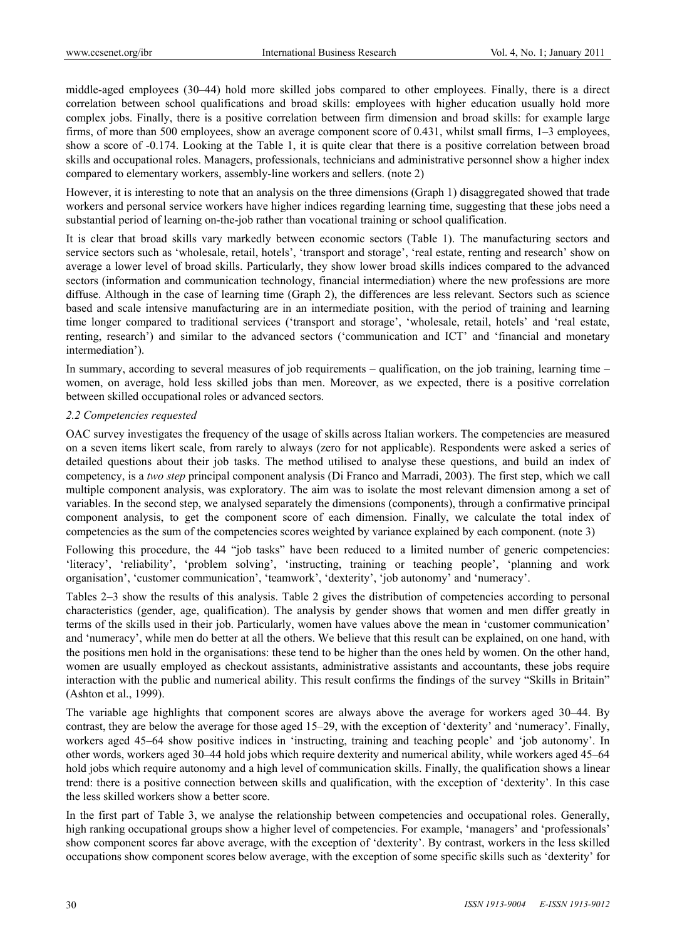middle-aged employees (30–44) hold more skilled jobs compared to other employees. Finally, there is a direct correlation between school qualifications and broad skills: employees with higher education usually hold more complex jobs. Finally, there is a positive correlation between firm dimension and broad skills: for example large firms, of more than 500 employees, show an average component score of 0.431, whilst small firms, 1–3 employees, show a score of -0.174. Looking at the Table 1, it is quite clear that there is a positive correlation between broad skills and occupational roles. Managers, professionals, technicians and administrative personnel show a higher index compared to elementary workers, assembly-line workers and sellers. (note 2)

However, it is interesting to note that an analysis on the three dimensions (Graph 1) disaggregated showed that trade workers and personal service workers have higher indices regarding learning time, suggesting that these jobs need a substantial period of learning on-the-job rather than vocational training or school qualification.

It is clear that broad skills vary markedly between economic sectors (Table 1). The manufacturing sectors and service sectors such as 'wholesale, retail, hotels', 'transport and storage', 'real estate, renting and research' show on average a lower level of broad skills. Particularly, they show lower broad skills indices compared to the advanced sectors (information and communication technology, financial intermediation) where the new professions are more diffuse. Although in the case of learning time (Graph 2), the differences are less relevant. Sectors such as science based and scale intensive manufacturing are in an intermediate position, with the period of training and learning time longer compared to traditional services ('transport and storage', 'wholesale, retail, hotels' and 'real estate, renting, research') and similar to the advanced sectors ('communication and ICT' and 'financial and monetary intermediation').

In summary, according to several measures of job requirements – qualification, on the job training, learning time – women, on average, hold less skilled jobs than men. Moreover, as we expected, there is a positive correlation between skilled occupational roles or advanced sectors.

#### *2.2 Competencies requested*

OAC survey investigates the frequency of the usage of skills across Italian workers. The competencies are measured on a seven items likert scale, from rarely to always (zero for not applicable). Respondents were asked a series of detailed questions about their job tasks. The method utilised to analyse these questions, and build an index of competency, is a *two step* principal component analysis (Di Franco and Marradi, 2003). The first step, which we call multiple component analysis, was exploratory. The aim was to isolate the most relevant dimension among a set of variables. In the second step, we analysed separately the dimensions (components), through a confirmative principal component analysis, to get the component score of each dimension. Finally, we calculate the total index of competencies as the sum of the competencies scores weighted by variance explained by each component. (note 3)

Following this procedure, the 44 "job tasks" have been reduced to a limited number of generic competencies: 'literacy', 'reliability', 'problem solving', 'instructing, training or teaching people', 'planning and work organisation', 'customer communication', 'teamwork', 'dexterity', 'job autonomy' and 'numeracy'.

Tables 2–3 show the results of this analysis. Table 2 gives the distribution of competencies according to personal characteristics (gender, age, qualification). The analysis by gender shows that women and men differ greatly in terms of the skills used in their job. Particularly, women have values above the mean in 'customer communication' and 'numeracy', while men do better at all the others. We believe that this result can be explained, on one hand, with the positions men hold in the organisations: these tend to be higher than the ones held by women. On the other hand, women are usually employed as checkout assistants, administrative assistants and accountants, these jobs require interaction with the public and numerical ability. This result confirms the findings of the survey "Skills in Britain" (Ashton et al., 1999).

The variable age highlights that component scores are always above the average for workers aged 30–44. By contrast, they are below the average for those aged 15–29, with the exception of 'dexterity' and 'numeracy'. Finally, workers aged 45–64 show positive indices in 'instructing, training and teaching people' and 'job autonomy'. In other words, workers aged 30–44 hold jobs which require dexterity and numerical ability, while workers aged 45–64 hold jobs which require autonomy and a high level of communication skills. Finally, the qualification shows a linear trend: there is a positive connection between skills and qualification, with the exception of 'dexterity'. In this case the less skilled workers show a better score.

In the first part of Table 3, we analyse the relationship between competencies and occupational roles. Generally, high ranking occupational groups show a higher level of competencies. For example, 'managers' and 'professionals' show component scores far above average, with the exception of 'dexterity'. By contrast, workers in the less skilled occupations show component scores below average, with the exception of some specific skills such as 'dexterity' for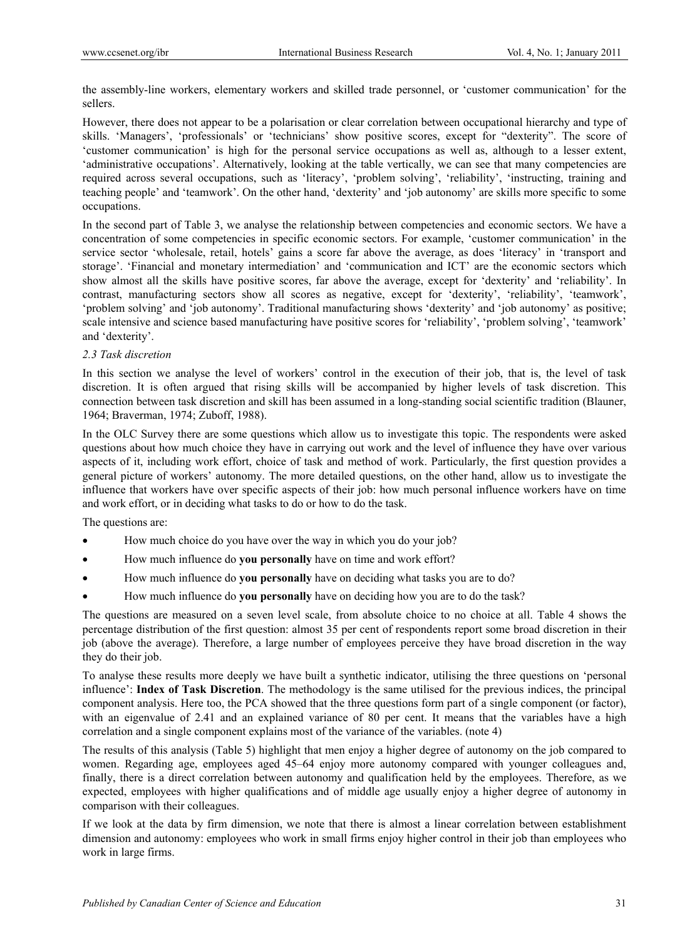the assembly-line workers, elementary workers and skilled trade personnel, or 'customer communication' for the sellers.

However, there does not appear to be a polarisation or clear correlation between occupational hierarchy and type of skills. 'Managers', 'professionals' or 'technicians' show positive scores, except for "dexterity". The score of 'customer communication' is high for the personal service occupations as well as, although to a lesser extent, 'administrative occupations'. Alternatively, looking at the table vertically, we can see that many competencies are required across several occupations, such as 'literacy', 'problem solving', 'reliability', 'instructing, training and teaching people' and 'teamwork'. On the other hand, 'dexterity' and 'job autonomy' are skills more specific to some occupations.

In the second part of Table 3, we analyse the relationship between competencies and economic sectors. We have a concentration of some competencies in specific economic sectors. For example, 'customer communication' in the service sector 'wholesale, retail, hotels' gains a score far above the average, as does 'literacy' in 'transport and storage'. 'Financial and monetary intermediation' and 'communication and ICT' are the economic sectors which show almost all the skills have positive scores, far above the average, except for 'dexterity' and 'reliability'. In contrast, manufacturing sectors show all scores as negative, except for 'dexterity', 'reliability', 'teamwork', 'problem solving' and 'job autonomy'. Traditional manufacturing shows 'dexterity' and 'job autonomy' as positive; scale intensive and science based manufacturing have positive scores for 'reliability', 'problem solving', 'teamwork' and 'dexterity'.

#### *2.3 Task discretion*

In this section we analyse the level of workers' control in the execution of their job, that is, the level of task discretion. It is often argued that rising skills will be accompanied by higher levels of task discretion. This connection between task discretion and skill has been assumed in a long-standing social scientific tradition (Blauner, 1964; Braverman, 1974; Zuboff, 1988).

In the OLC Survey there are some questions which allow us to investigate this topic. The respondents were asked questions about how much choice they have in carrying out work and the level of influence they have over various aspects of it, including work effort, choice of task and method of work. Particularly, the first question provides a general picture of workers' autonomy. The more detailed questions, on the other hand, allow us to investigate the influence that workers have over specific aspects of their job: how much personal influence workers have on time and work effort, or in deciding what tasks to do or how to do the task.

The questions are:

- How much choice do you have over the way in which you do your job?
- How much influence do **you personally** have on time and work effort?
- How much influence do **you personally** have on deciding what tasks you are to do?
- How much influence do **you personally** have on deciding how you are to do the task?

The questions are measured on a seven level scale, from absolute choice to no choice at all. Table 4 shows the percentage distribution of the first question: almost 35 per cent of respondents report some broad discretion in their job (above the average). Therefore, a large number of employees perceive they have broad discretion in the way they do their job.

To analyse these results more deeply we have built a synthetic indicator, utilising the three questions on 'personal influence': **Index of Task Discretion**. The methodology is the same utilised for the previous indices, the principal component analysis. Here too, the PCA showed that the three questions form part of a single component (or factor), with an eigenvalue of 2.41 and an explained variance of 80 per cent. It means that the variables have a high correlation and a single component explains most of the variance of the variables. (note 4)

The results of this analysis (Table 5) highlight that men enjoy a higher degree of autonomy on the job compared to women. Regarding age, employees aged 45–64 enjoy more autonomy compared with younger colleagues and, finally, there is a direct correlation between autonomy and qualification held by the employees. Therefore, as we expected, employees with higher qualifications and of middle age usually enjoy a higher degree of autonomy in comparison with their colleagues.

If we look at the data by firm dimension, we note that there is almost a linear correlation between establishment dimension and autonomy: employees who work in small firms enjoy higher control in their job than employees who work in large firms.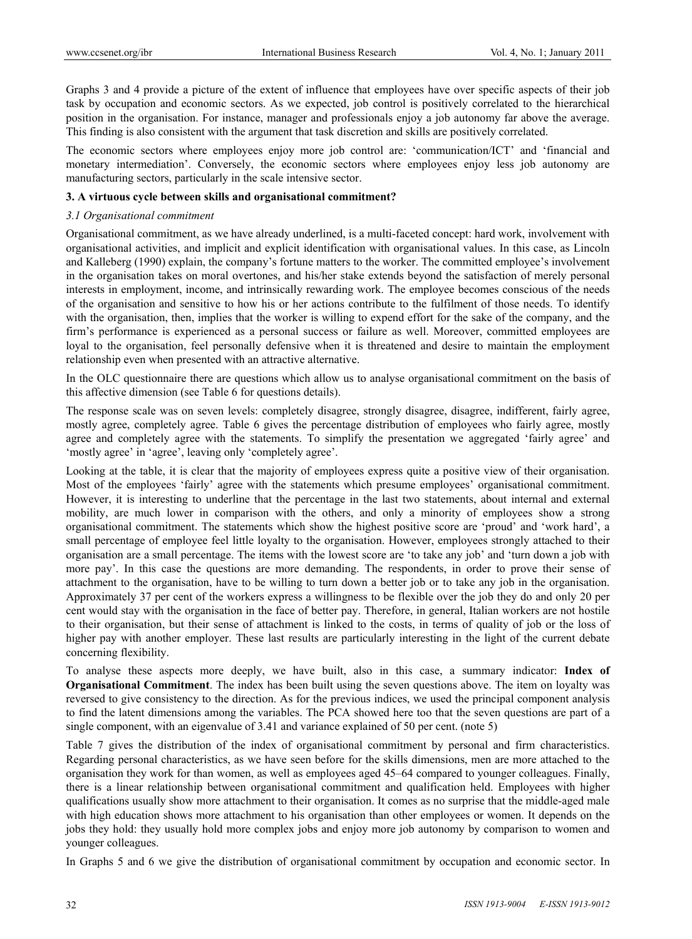Graphs 3 and 4 provide a picture of the extent of influence that employees have over specific aspects of their job task by occupation and economic sectors. As we expected, job control is positively correlated to the hierarchical position in the organisation. For instance, manager and professionals enjoy a job autonomy far above the average. This finding is also consistent with the argument that task discretion and skills are positively correlated.

The economic sectors where employees enjoy more job control are: 'communication/ICT' and 'financial and monetary intermediation'. Conversely, the economic sectors where employees enjoy less job autonomy are manufacturing sectors, particularly in the scale intensive sector.

#### **3. A virtuous cycle between skills and organisational commitment?**

## *3.1 Organisational commitment*

Organisational commitment, as we have already underlined, is a multi-faceted concept: hard work, involvement with organisational activities, and implicit and explicit identification with organisational values. In this case, as Lincoln and Kalleberg (1990) explain, the company's fortune matters to the worker. The committed employee's involvement in the organisation takes on moral overtones, and his/her stake extends beyond the satisfaction of merely personal interests in employment, income, and intrinsically rewarding work. The employee becomes conscious of the needs of the organisation and sensitive to how his or her actions contribute to the fulfilment of those needs. To identify with the organisation, then, implies that the worker is willing to expend effort for the sake of the company, and the firm's performance is experienced as a personal success or failure as well. Moreover, committed employees are loyal to the organisation, feel personally defensive when it is threatened and desire to maintain the employment relationship even when presented with an attractive alternative.

In the OLC questionnaire there are questions which allow us to analyse organisational commitment on the basis of this affective dimension (see Table 6 for questions details).

The response scale was on seven levels: completely disagree, strongly disagree, disagree, indifferent, fairly agree, mostly agree, completely agree. Table 6 gives the percentage distribution of employees who fairly agree, mostly agree and completely agree with the statements. To simplify the presentation we aggregated 'fairly agree' and 'mostly agree' in 'agree', leaving only 'completely agree'.

Looking at the table, it is clear that the majority of employees express quite a positive view of their organisation. Most of the employees 'fairly' agree with the statements which presume employees' organisational commitment. However, it is interesting to underline that the percentage in the last two statements, about internal and external mobility, are much lower in comparison with the others, and only a minority of employees show a strong organisational commitment. The statements which show the highest positive score are 'proud' and 'work hard', a small percentage of employee feel little loyalty to the organisation. However, employees strongly attached to their organisation are a small percentage. The items with the lowest score are 'to take any job' and 'turn down a job with more pay'. In this case the questions are more demanding. The respondents, in order to prove their sense of attachment to the organisation, have to be willing to turn down a better job or to take any job in the organisation. Approximately 37 per cent of the workers express a willingness to be flexible over the job they do and only 20 per cent would stay with the organisation in the face of better pay. Therefore, in general, Italian workers are not hostile to their organisation, but their sense of attachment is linked to the costs, in terms of quality of job or the loss of higher pay with another employer. These last results are particularly interesting in the light of the current debate concerning flexibility.

To analyse these aspects more deeply, we have built, also in this case, a summary indicator: **Index of Organisational Commitment**. The index has been built using the seven questions above. The item on loyalty was reversed to give consistency to the direction. As for the previous indices, we used the principal component analysis to find the latent dimensions among the variables. The PCA showed here too that the seven questions are part of a single component, with an eigenvalue of 3.41 and variance explained of 50 per cent. (note 5)

Table 7 gives the distribution of the index of organisational commitment by personal and firm characteristics. Regarding personal characteristics, as we have seen before for the skills dimensions, men are more attached to the organisation they work for than women, as well as employees aged 45–64 compared to younger colleagues. Finally, there is a linear relationship between organisational commitment and qualification held. Employees with higher qualifications usually show more attachment to their organisation. It comes as no surprise that the middle-aged male with high education shows more attachment to his organisation than other employees or women. It depends on the jobs they hold: they usually hold more complex jobs and enjoy more job autonomy by comparison to women and younger colleagues.

In Graphs 5 and 6 we give the distribution of organisational commitment by occupation and economic sector. In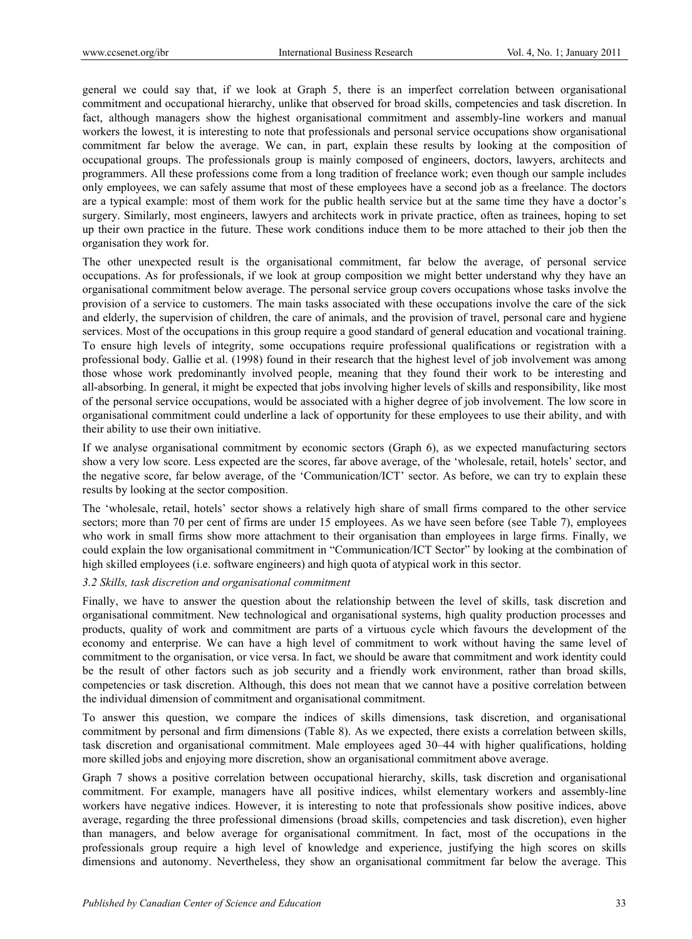general we could say that, if we look at Graph 5, there is an imperfect correlation between organisational commitment and occupational hierarchy, unlike that observed for broad skills, competencies and task discretion. In fact, although managers show the highest organisational commitment and assembly-line workers and manual workers the lowest, it is interesting to note that professionals and personal service occupations show organisational commitment far below the average. We can, in part, explain these results by looking at the composition of occupational groups. The professionals group is mainly composed of engineers, doctors, lawyers, architects and programmers. All these professions come from a long tradition of freelance work; even though our sample includes only employees, we can safely assume that most of these employees have a second job as a freelance. The doctors are a typical example: most of them work for the public health service but at the same time they have a doctor's surgery. Similarly, most engineers, lawyers and architects work in private practice, often as trainees, hoping to set up their own practice in the future. These work conditions induce them to be more attached to their job then the organisation they work for.

The other unexpected result is the organisational commitment, far below the average, of personal service occupations. As for professionals, if we look at group composition we might better understand why they have an organisational commitment below average. The personal service group covers occupations whose tasks involve the provision of a service to customers. The main tasks associated with these occupations involve the care of the sick and elderly, the supervision of children, the care of animals, and the provision of travel, personal care and hygiene services. Most of the occupations in this group require a good standard of general education and vocational training. To ensure high levels of integrity, some occupations require professional qualifications or registration with a professional body. Gallie et al. (1998) found in their research that the highest level of job involvement was among those whose work predominantly involved people, meaning that they found their work to be interesting and all-absorbing. In general, it might be expected that jobs involving higher levels of skills and responsibility, like most of the personal service occupations, would be associated with a higher degree of job involvement. The low score in organisational commitment could underline a lack of opportunity for these employees to use their ability, and with their ability to use their own initiative.

If we analyse organisational commitment by economic sectors (Graph 6), as we expected manufacturing sectors show a very low score. Less expected are the scores, far above average, of the 'wholesale, retail, hotels' sector, and the negative score, far below average, of the 'Communication/ICT' sector. As before, we can try to explain these results by looking at the sector composition.

The 'wholesale, retail, hotels' sector shows a relatively high share of small firms compared to the other service sectors; more than 70 per cent of firms are under 15 employees. As we have seen before (see Table 7), employees who work in small firms show more attachment to their organisation than employees in large firms. Finally, we could explain the low organisational commitment in "Communication/ICT Sector" by looking at the combination of high skilled employees (i.e. software engineers) and high quota of atypical work in this sector.

## *3.2 Skills, task discretion and organisational commitment*

Finally, we have to answer the question about the relationship between the level of skills, task discretion and organisational commitment. New technological and organisational systems, high quality production processes and products, quality of work and commitment are parts of a virtuous cycle which favours the development of the economy and enterprise. We can have a high level of commitment to work without having the same level of commitment to the organisation, or vice versa. In fact, we should be aware that commitment and work identity could be the result of other factors such as job security and a friendly work environment, rather than broad skills, competencies or task discretion. Although, this does not mean that we cannot have a positive correlation between the individual dimension of commitment and organisational commitment.

To answer this question, we compare the indices of skills dimensions, task discretion, and organisational commitment by personal and firm dimensions (Table 8). As we expected, there exists a correlation between skills, task discretion and organisational commitment. Male employees aged 30–44 with higher qualifications, holding more skilled jobs and enjoying more discretion, show an organisational commitment above average.

Graph 7 shows a positive correlation between occupational hierarchy, skills, task discretion and organisational commitment. For example, managers have all positive indices, whilst elementary workers and assembly-line workers have negative indices. However, it is interesting to note that professionals show positive indices, above average, regarding the three professional dimensions (broad skills, competencies and task discretion), even higher than managers, and below average for organisational commitment. In fact, most of the occupations in the professionals group require a high level of knowledge and experience, justifying the high scores on skills dimensions and autonomy. Nevertheless, they show an organisational commitment far below the average. This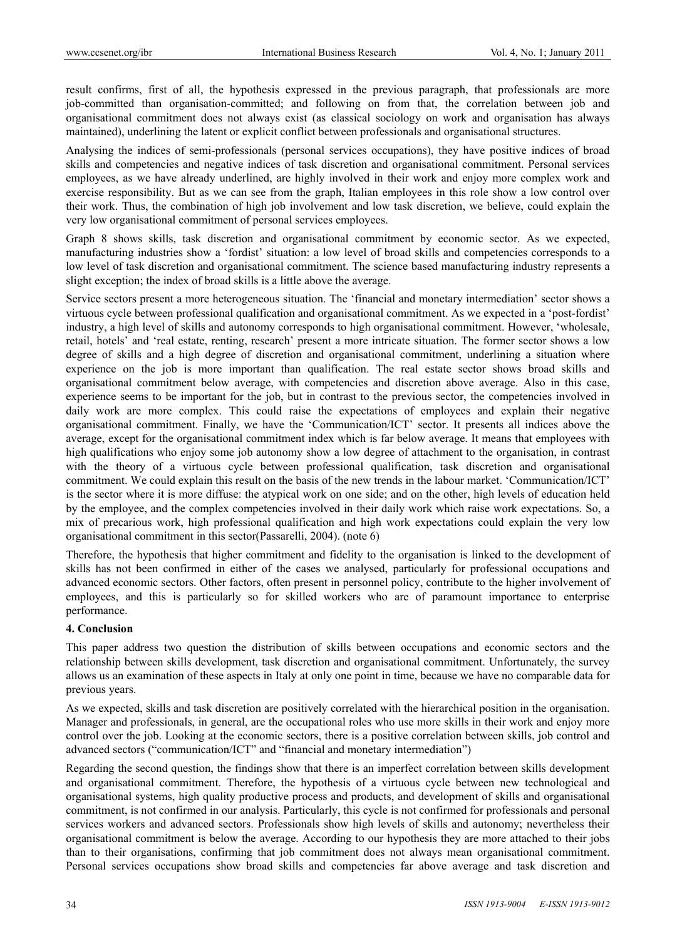result confirms, first of all, the hypothesis expressed in the previous paragraph, that professionals are more job-committed than organisation-committed; and following on from that, the correlation between job and organisational commitment does not always exist (as classical sociology on work and organisation has always maintained), underlining the latent or explicit conflict between professionals and organisational structures.

Analysing the indices of semi-professionals (personal services occupations), they have positive indices of broad skills and competencies and negative indices of task discretion and organisational commitment. Personal services employees, as we have already underlined, are highly involved in their work and enjoy more complex work and exercise responsibility. But as we can see from the graph, Italian employees in this role show a low control over their work. Thus, the combination of high job involvement and low task discretion, we believe, could explain the very low organisational commitment of personal services employees.

Graph 8 shows skills, task discretion and organisational commitment by economic sector. As we expected, manufacturing industries show a 'fordist' situation: a low level of broad skills and competencies corresponds to a low level of task discretion and organisational commitment. The science based manufacturing industry represents a slight exception; the index of broad skills is a little above the average.

Service sectors present a more heterogeneous situation. The 'financial and monetary intermediation' sector shows a virtuous cycle between professional qualification and organisational commitment. As we expected in a 'post-fordist' industry, a high level of skills and autonomy corresponds to high organisational commitment. However, 'wholesale, retail, hotels' and 'real estate, renting, research' present a more intricate situation. The former sector shows a low degree of skills and a high degree of discretion and organisational commitment, underlining a situation where experience on the job is more important than qualification. The real estate sector shows broad skills and organisational commitment below average, with competencies and discretion above average. Also in this case, experience seems to be important for the job, but in contrast to the previous sector, the competencies involved in daily work are more complex. This could raise the expectations of employees and explain their negative organisational commitment. Finally, we have the 'Communication/ICT' sector. It presents all indices above the average, except for the organisational commitment index which is far below average. It means that employees with high qualifications who enjoy some job autonomy show a low degree of attachment to the organisation, in contrast with the theory of a virtuous cycle between professional qualification, task discretion and organisational commitment. We could explain this result on the basis of the new trends in the labour market. 'Communication/ICT' is the sector where it is more diffuse: the atypical work on one side; and on the other, high levels of education held by the employee, and the complex competencies involved in their daily work which raise work expectations. So, a mix of precarious work, high professional qualification and high work expectations could explain the very low organisational commitment in this sector(Passarelli, 2004). (note 6)

Therefore, the hypothesis that higher commitment and fidelity to the organisation is linked to the development of skills has not been confirmed in either of the cases we analysed, particularly for professional occupations and advanced economic sectors. Other factors, often present in personnel policy, contribute to the higher involvement of employees, and this is particularly so for skilled workers who are of paramount importance to enterprise performance.

## **4. Conclusion**

This paper address two question the distribution of skills between occupations and economic sectors and the relationship between skills development, task discretion and organisational commitment. Unfortunately, the survey allows us an examination of these aspects in Italy at only one point in time, because we have no comparable data for previous years.

As we expected, skills and task discretion are positively correlated with the hierarchical position in the organisation. Manager and professionals, in general, are the occupational roles who use more skills in their work and enjoy more control over the job. Looking at the economic sectors, there is a positive correlation between skills, job control and advanced sectors ("communication/ICT" and "financial and monetary intermediation")

Regarding the second question, the findings show that there is an imperfect correlation between skills development and organisational commitment. Therefore, the hypothesis of a virtuous cycle between new technological and organisational systems, high quality productive process and products, and development of skills and organisational commitment, is not confirmed in our analysis. Particularly, this cycle is not confirmed for professionals and personal services workers and advanced sectors. Professionals show high levels of skills and autonomy; nevertheless their organisational commitment is below the average. According to our hypothesis they are more attached to their jobs than to their organisations, confirming that job commitment does not always mean organisational commitment. Personal services occupations show broad skills and competencies far above average and task discretion and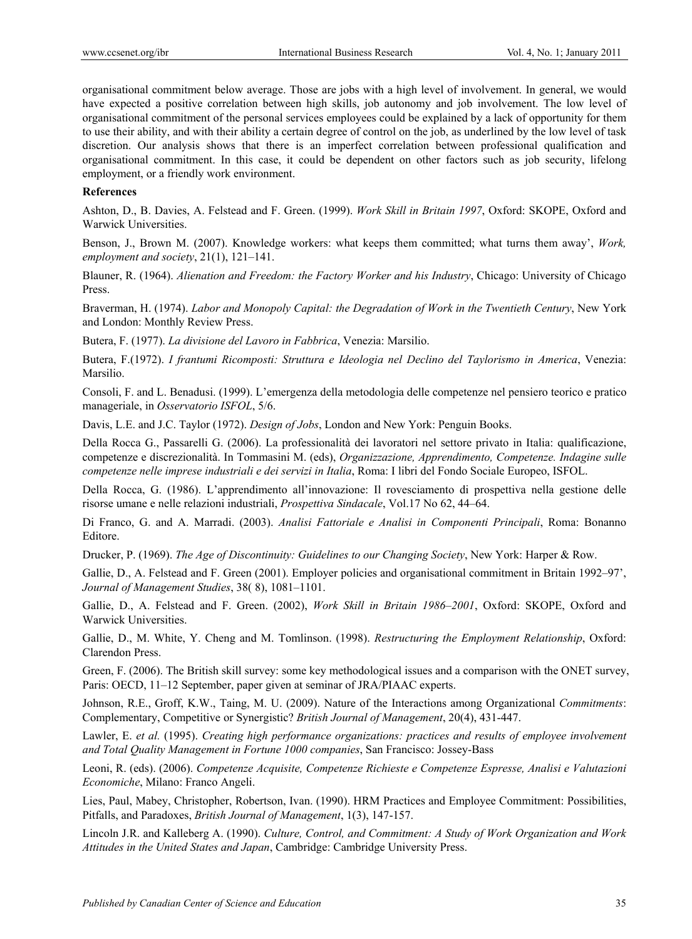organisational commitment below average. Those are jobs with a high level of involvement. In general, we would have expected a positive correlation between high skills, job autonomy and job involvement. The low level of organisational commitment of the personal services employees could be explained by a lack of opportunity for them to use their ability, and with their ability a certain degree of control on the job, as underlined by the low level of task discretion. Our analysis shows that there is an imperfect correlation between professional qualification and organisational commitment. In this case, it could be dependent on other factors such as job security, lifelong employment, or a friendly work environment.

#### **References**

Ashton, D., B. Davies, A. Felstead and F. Green. (1999). *Work Skill in Britain 1997*, Oxford: SKOPE, Oxford and Warwick Universities.

Benson, J., Brown M. (2007). Knowledge workers: what keeps them committed; what turns them away', *Work, employment and society*, 21(1), 121–141.

Blauner, R. (1964). *Alienation and Freedom: the Factory Worker and his Industry*, Chicago: University of Chicago Press.

Braverman, H. (1974). *Labor and Monopoly Capital: the Degradation of Work in the Twentieth Century*, New York and London: Monthly Review Press.

Butera, F. (1977). *La divisione del Lavoro in Fabbrica*, Venezia: Marsilio.

Butera, F.(1972). *I frantumi Ricomposti: Struttura e Ideologia nel Declino del Taylorismo in America*, Venezia: Marsilio.

Consoli, F. and L. Benadusi. (1999). L'emergenza della metodologia delle competenze nel pensiero teorico e pratico manageriale, in *Osservatorio ISFOL*, 5/6.

Davis, L.E. and J.C. Taylor (1972). *Design of Jobs*, London and New York: Penguin Books.

Della Rocca G., Passarelli G. (2006). La professionalità dei lavoratori nel settore privato in Italia: qualificazione, competenze e discrezionalità. In Tommasini M. (eds), *Organizzazione, Apprendimento, Competenze. Indagine sulle competenze nelle imprese industriali e dei servizi in Italia*, Roma: I libri del Fondo Sociale Europeo, ISFOL.

Della Rocca, G. (1986). L'apprendimento all'innovazione: Il rovesciamento di prospettiva nella gestione delle risorse umane e nelle relazioni industriali, *Prospettiva Sindacale*, Vol.17 No 62, 44–64.

Di Franco, G. and A. Marradi. (2003). *Analisi Fattoriale e Analisi in Componenti Principali*, Roma: Bonanno Editore.

Drucker, P. (1969). *The Age of Discontinuity: Guidelines to our Changing Society*, New York: Harper & Row.

Gallie, D., A. Felstead and F. Green (2001). Employer policies and organisational commitment in Britain 1992–97', *Journal of Management Studies*, 38( 8), 1081–1101.

Gallie, D., A. Felstead and F. Green. (2002), *Work Skill in Britain 1986–2001*, Oxford: SKOPE, Oxford and Warwick Universities.

Gallie, D., M. White, Y. Cheng and M. Tomlinson. (1998). *Restructuring the Employment Relationship*, Oxford: Clarendon Press.

Green, F. (2006). The British skill survey: some key methodological issues and a comparison with the ONET survey, Paris: OECD, 11–12 September, paper given at seminar of JRA/PIAAC experts.

Johnson, R.E., Groff, K.W., Taing, M. U. (2009). Nature of the Interactions among Organizational *Commitments*: Complementary, Competitive or Synergistic? *British Journal of Management*, 20(4), 431-447.

Lawler, E. *et al.* (1995). *Creating high performance organizations: practices and results of employee involvement and Total Quality Management in Fortune 1000 companies*, San Francisco: Jossey-Bass

Leoni, R. (eds). (2006). *Competenze Acquisite, Competenze Richieste e Competenze Espresse, Analisi e Valutazioni Economiche*, Milano: Franco Angeli.

Lies, Paul, Mabey, Christopher, Robertson, Ivan. (1990). HRM Practices and Employee Commitment: Possibilities, Pitfalls, and Paradoxes, *British Journal of Management*, 1(3), 147-157.

Lincoln J.R. and Kalleberg A. (1990). *Culture, Control, and Commitment: A Study of Work Organization and Work Attitudes in the United States and Japan*, Cambridge: Cambridge University Press.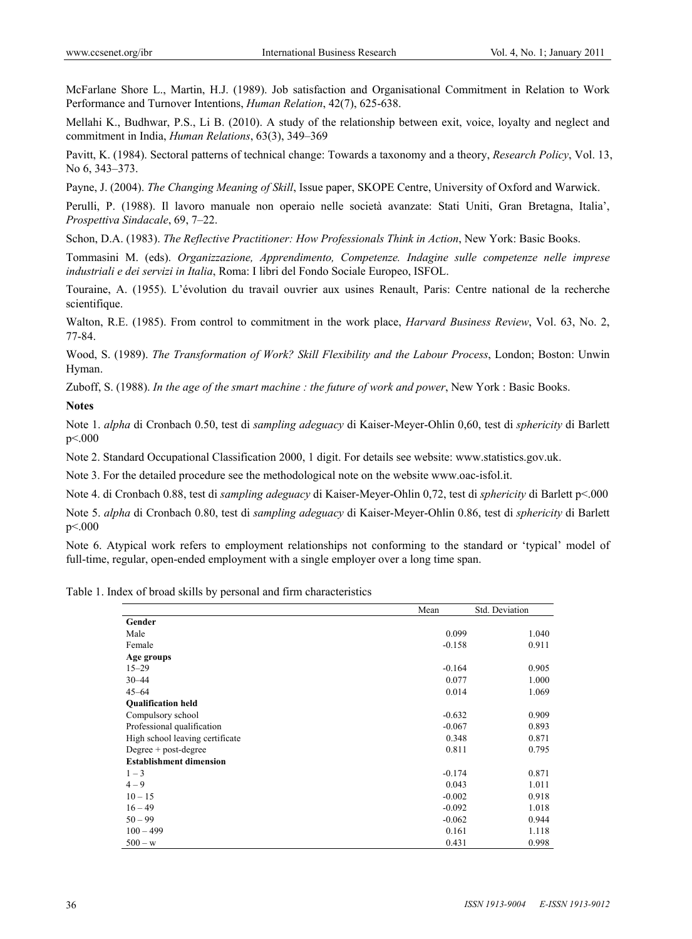McFarlane Shore L., Martin, H.J. (1989). Job satisfaction and Organisational Commitment in Relation to Work Performance and Turnover Intentions, *Human Relation*, 42(7), 625-638.

Mellahi K., Budhwar, P.S., Li B. (2010). A study of the relationship between exit, voice, loyalty and neglect and commitment in India, *Human Relations*, 63(3), 349–369

Pavitt, K. (1984). Sectoral patterns of technical change: Towards a taxonomy and a theory, *Research Policy*, Vol. 13, No 6, 343–373.

Payne, J. (2004). *The Changing Meaning of Skill*, Issue paper, SKOPE Centre, University of Oxford and Warwick.

Perulli, P. (1988). Il lavoro manuale non operaio nelle società avanzate: Stati Uniti, Gran Bretagna, Italia', *Prospettiva Sindacale*, 69, 7–22.

Schon, D.A. (1983). *The Reflective Practitioner: How Professionals Think in Action*, New York: Basic Books.

Tommasini M. (eds). *Organizzazione, Apprendimento, Competenze. Indagine sulle competenze nelle imprese industriali e dei servizi in Italia*, Roma: I libri del Fondo Sociale Europeo, ISFOL.

Touraine, A. (1955). L'évolution du travail ouvrier aux usines Renault, Paris: Centre national de la recherche scientifique.

Walton, R.E. (1985). From control to commitment in the work place, *Harvard Business Review*, Vol. 63, No. 2, 77-84.

Wood, S. (1989). *The Transformation of Work? Skill Flexibility and the Labour Process*, London; Boston: Unwin Hyman.

Zuboff, S. (1988). *In the age of the smart machine : the future of work and power*, New York : Basic Books.

#### **Notes**

Note 1. *alpha* di Cronbach 0.50, test di *sampling adeguacy* di Kaiser-Meyer-Ohlin 0,60, test di *sphericity* di Barlett p<.000

Note 2. Standard Occupational Classification 2000, 1 digit. For details see website: www.statistics.gov.uk.

Note 3. For the detailed procedure see the methodological note on the website www.oac-isfol.it.

Note 4. di Cronbach 0.88, test di *sampling adeguacy* di Kaiser-Meyer-Ohlin 0,72, test di *sphericity* di Barlett p<.000

Note 5. *alpha* di Cronbach 0.80, test di *sampling adeguacy* di Kaiser-Meyer-Ohlin 0.86, test di *sphericity* di Barlett p<.000

Note 6. Atypical work refers to employment relationships not conforming to the standard or 'typical' model of full-time, regular, open-ended employment with a single employer over a long time span.

Table 1. Index of broad skills by personal and firm characteristics

|                                 | Mean     | Std. Deviation |
|---------------------------------|----------|----------------|
| Gender                          |          |                |
| Male                            | 0.099    | 1.040          |
| Female                          | $-0.158$ | 0.911          |
| Age groups                      |          |                |
| $15 - 29$                       | $-0.164$ | 0.905          |
| $30 - 44$                       | 0.077    | 1.000          |
| $45 - 64$                       | 0.014    | 1.069          |
| <b>Qualification held</b>       |          |                |
| Compulsory school               | $-0.632$ | 0.909          |
| Professional qualification      | $-0.067$ | 0.893          |
| High school leaving certificate | 0.348    | 0.871          |
| Degree $+$ post-degree          | 0.811    | 0.795          |
| <b>Establishment dimension</b>  |          |                |
| $1 - 3$                         | $-0.174$ | 0.871          |
| $4 - 9$                         | 0.043    | 1.011          |
| $10 - 15$                       | $-0.002$ | 0.918          |
| $16 - 49$                       | $-0.092$ | 1.018          |
| $50 - 99$                       | $-0.062$ | 0.944          |
| $100 - 499$                     | 0.161    | 1.118          |
| $500 - w$                       | 0.431    | 0.998          |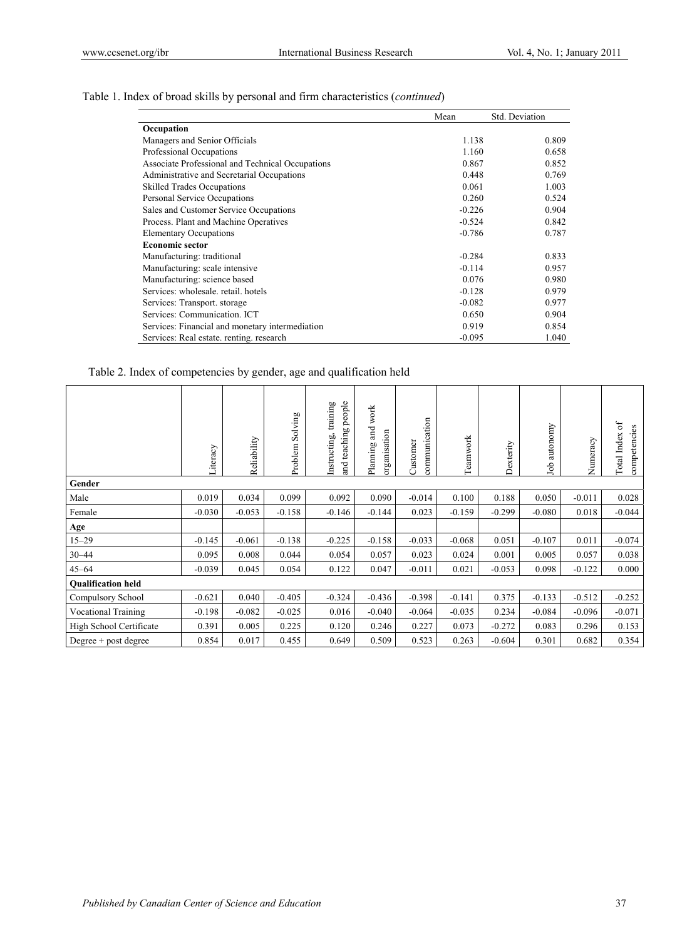|                                                  | Mean     | Std. Deviation |
|--------------------------------------------------|----------|----------------|
| Occupation                                       |          |                |
| Managers and Senior Officials                    | 1.138    | 0.809          |
| Professional Occupations                         | 1.160    | 0.658          |
| Associate Professional and Technical Occupations | 0.867    | 0.852          |
| Administrative and Secretarial Occupations       | 0.448    | 0.769          |
| <b>Skilled Trades Occupations</b>                | 0.061    | 1.003          |
| Personal Service Occupations                     | 0.260    | 0.524          |
| Sales and Customer Service Occupations           | $-0.226$ | 0.904          |
| Process. Plant and Machine Operatives            | $-0.524$ | 0.842          |
| <b>Elementary Occupations</b>                    | $-0.786$ | 0.787          |
| <b>Economic sector</b>                           |          |                |
| Manufacturing: traditional                       | $-0.284$ | 0.833          |
| Manufacturing: scale intensive                   | $-0.114$ | 0.957          |
| Manufacturing: science based                     | 0.076    | 0.980          |
| Services: wholesale, retail, hotels              | $-0.128$ | 0.979          |
| Services: Transport. storage                     | $-0.082$ | 0.977          |
| Services: Communication. ICT                     | 0.650    | 0.904          |
| Services: Financial and monetary intermediation  | 0.919    | 0.854          |
| Services: Real estate, renting, research         | $-0.095$ | 1.040          |

Table 1. Index of broad skills by personal and firm characteristics (*continued*)

| Table 2. Index of competencies by gender, age and qualification held |  |  |  |
|----------------------------------------------------------------------|--|--|--|
|                                                                      |  |  |  |

|                            | Literacy | Reliability | Solving<br>Problem | teaching people<br>training<br>Instructing,<br>and | work<br>Planning and<br>organisation | communication<br>Customer | Teamwork | Dexterity | autonomy<br>Job | Numeracy | Total Index of<br>competencies |
|----------------------------|----------|-------------|--------------------|----------------------------------------------------|--------------------------------------|---------------------------|----------|-----------|-----------------|----------|--------------------------------|
| Gender                     |          |             |                    |                                                    |                                      |                           |          |           |                 |          |                                |
| Male                       | 0.019    | 0.034       | 0.099              | 0.092                                              | 0.090                                | $-0.014$                  | 0.100    | 0.188     | 0.050           | $-0.011$ | 0.028                          |
| Female                     | $-0.030$ | $-0.053$    | $-0.158$           | $-0.146$                                           | $-0.144$                             | 0.023                     | $-0.159$ | $-0.299$  | $-0.080$        | 0.018    | $-0.044$                       |
| Age                        |          |             |                    |                                                    |                                      |                           |          |           |                 |          |                                |
| $15 - 29$                  | $-0.145$ | $-0.061$    | $-0.138$           | $-0.225$                                           | $-0.158$                             | $-0.033$                  | $-0.068$ | 0.051     | $-0.107$        | 0.011    | $-0.074$                       |
| $30 - 44$                  | 0.095    | 0.008       | 0.044              | 0.054                                              | 0.057                                | 0.023                     | 0.024    | 0.001     | 0.005           | 0.057    | 0.038                          |
| $45 - 64$                  | $-0.039$ | 0.045       | 0.054              | 0.122                                              | 0.047                                | $-0.011$                  | 0.021    | $-0.053$  | 0.098           | $-0.122$ | 0.000                          |
| <b>Qualification held</b>  |          |             |                    |                                                    |                                      |                           |          |           |                 |          |                                |
| Compulsory School          | $-0.621$ | 0.040       | $-0.405$           | $-0.324$                                           | $-0.436$                             | $-0.398$                  | $-0.141$ | 0.375     | $-0.133$        | $-0.512$ | $-0.252$                       |
| <b>Vocational Training</b> | $-0.198$ | $-0.082$    | $-0.025$           | 0.016                                              | $-0.040$                             | $-0.064$                  | $-0.035$ | 0.234     | $-0.084$        | $-0.096$ | $-0.071$                       |
| High School Certificate    | 0.391    | 0.005       | 0.225              | 0.120                                              | 0.246                                | 0.227                     | 0.073    | $-0.272$  | 0.083           | 0.296    | 0.153                          |
| Degree $+$ post degree     | 0.854    | 0.017       | 0.455              | 0.649                                              | 0.509                                | 0.523                     | 0.263    | $-0.604$  | 0.301           | 0.682    | 0.354                          |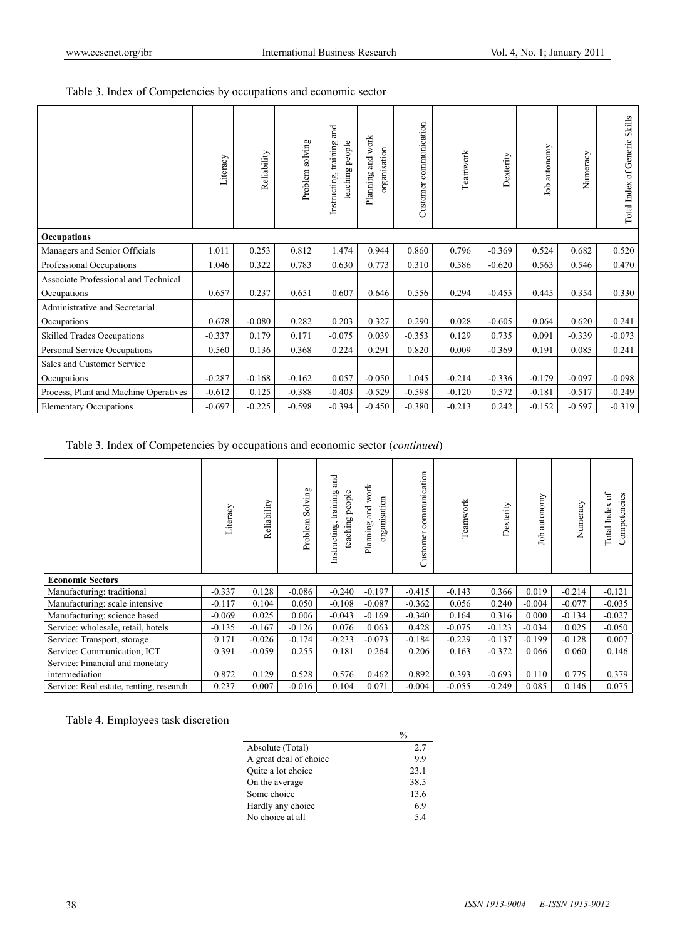Table 3. Index of Competencies by occupations and economic sector

|                                       | Literacy | Reliability | Problem solving | and<br>people<br>training<br>teaching <sub>]</sub><br>Instructing, | Planning and work<br>organisation | Customer communication | Teamwork | Dexterity | Job autonomy | Numeracy | Total Index of Generic Skills |
|---------------------------------------|----------|-------------|-----------------|--------------------------------------------------------------------|-----------------------------------|------------------------|----------|-----------|--------------|----------|-------------------------------|
| Occupations                           |          |             |                 |                                                                    |                                   |                        |          |           |              |          |                               |
| Managers and Senior Officials         | 1.011    | 0.253       | 0.812           | 1.474                                                              | 0.944                             | 0.860                  | 0.796    | $-0.369$  | 0.524        | 0.682    | 0.520                         |
| Professional Occupations              | 1.046    | 0.322       | 0.783           | 0.630                                                              | 0.773                             | 0.310                  | 0.586    | $-0.620$  | 0.563        | 0.546    | 0.470                         |
| Associate Professional and Technical  |          |             |                 |                                                                    |                                   |                        |          |           |              |          |                               |
| Occupations                           | 0.657    | 0.237       | 0.651           | 0.607                                                              | 0.646                             | 0.556                  | 0.294    | $-0.455$  | 0.445        | 0.354    | 0.330                         |
| Administrative and Secretarial        |          |             |                 |                                                                    |                                   |                        |          |           |              |          |                               |
| Occupations                           | 0.678    | $-0.080$    | 0.282           | 0.203                                                              | 0.327                             | 0.290                  | 0.028    | $-0.605$  | 0.064        | 0.620    | 0.241                         |
| <b>Skilled Trades Occupations</b>     | $-0.337$ | 0.179       | 0.171           | $-0.075$                                                           | 0.039                             | $-0.353$               | 0.129    | 0.735     | 0.091        | $-0.339$ | $-0.073$                      |
| Personal Service Occupations          | 0.560    | 0.136       | 0.368           | 0.224                                                              | 0.291                             | 0.820                  | 0.009    | $-0.369$  | 0.191        | 0.085    | 0.241                         |
| Sales and Customer Service            |          |             |                 |                                                                    |                                   |                        |          |           |              |          |                               |
| Occupations                           | $-0.287$ | $-0.168$    | $-0.162$        | 0.057                                                              | $-0.050$                          | 1.045                  | $-0.214$ | $-0.336$  | $-0.179$     | $-0.097$ | $-0.098$                      |
| Process, Plant and Machine Operatives | $-0.612$ | 0.125       | $-0.388$        | $-0.403$                                                           | $-0.529$                          | $-0.598$               | $-0.120$ | 0.572     | $-0.181$     | $-0.517$ | $-0.249$                      |
| <b>Elementary Occupations</b>         | $-0.697$ | $-0.225$    | $-0.598$        | $-0.394$                                                           | $-0.450$                          | $-0.380$               | $-0.213$ | 0.242     | $-0.152$     | $-0.597$ | $-0.319$                      |

Table 3. Index of Competencies by occupations and economic sector (*continued*)

|                                         | Literacy | Reliability | Solving<br>Problem | and<br>people<br>training<br>teaching<br>Instructing | work<br>organisation<br>Planning and | communication<br>Customer | Teanwork | Dexterity | autonomy<br>dol | Numeracy | ЪÇ<br>Competencies<br>Total Index |
|-----------------------------------------|----------|-------------|--------------------|------------------------------------------------------|--------------------------------------|---------------------------|----------|-----------|-----------------|----------|-----------------------------------|
| <b>Economic Sectors</b>                 |          |             |                    |                                                      |                                      |                           |          |           |                 |          |                                   |
| Manufacturing: traditional              | $-0.337$ | 0.128       | $-0.086$           | $-0.240$                                             | $-0.197$                             | $-0.415$                  | $-0.143$ | 0.366     | 0.019           | $-0.214$ | $-0.121$                          |
| Manufacturing: scale intensive          | $-0.117$ | 0.104       | 0.050              | $-0.108$                                             | $-0.087$                             | $-0.362$                  | 0.056    | 0.240     | $-0.004$        | $-0.077$ | $-0.035$                          |
| Manufacturing: science based            | $-0.069$ | 0.025       | 0.006              | $-0.043$                                             | $-0.169$                             | $-0.340$                  | 0.164    | 0.316     | 0.000           | $-0.134$ | $-0.027$                          |
| Service: wholesale, retail, hotels      | $-0.135$ | $-0.167$    | $-0.126$           | 0.076                                                | 0.063                                | 0.428                     | $-0.075$ | $-0.123$  | $-0.034$        | 0.025    | $-0.050$                          |
| Service: Transport, storage             | 0.171    | $-0.026$    | $-0.174$           | $-0.233$                                             | $-0.073$                             | $-0.184$                  | $-0.229$ | $-0.137$  | $-0.199$        | $-0.128$ | 0.007                             |
| Service: Communication, ICT             | 0.391    | $-0.059$    | 0.255              | 0.181                                                | 0.264                                | 0.206                     | 0.163    | $-0.372$  | 0.066           | 0.060    | 0.146                             |
| Service: Financial and monetary         |          |             |                    |                                                      |                                      |                           |          |           |                 |          |                                   |
| intermediation                          | 0.872    | 0.129       | 0.528              | 0.576                                                | 0.462                                | 0.892                     | 0.393    | $-0.693$  | 0.110           | 0.775    | 0.379                             |
| Service: Real estate, renting, research | 0.237    | 0.007       | $-0.016$           | 0.104                                                | 0.071                                | $-0.004$                  | $-0.055$ | $-0.249$  | 0.085           | 0.146    | 0.075                             |

Table 4. Employees task discretion

|                        | %    |
|------------------------|------|
| Absolute (Total)       | 2.7  |
| A great deal of choice | 99   |
| Quite a lot choice     | 23.1 |
| On the average         | 38.5 |
| Some choice            | 13.6 |
| Hardly any choice      | 6.9  |
| No choice at all       | 54   |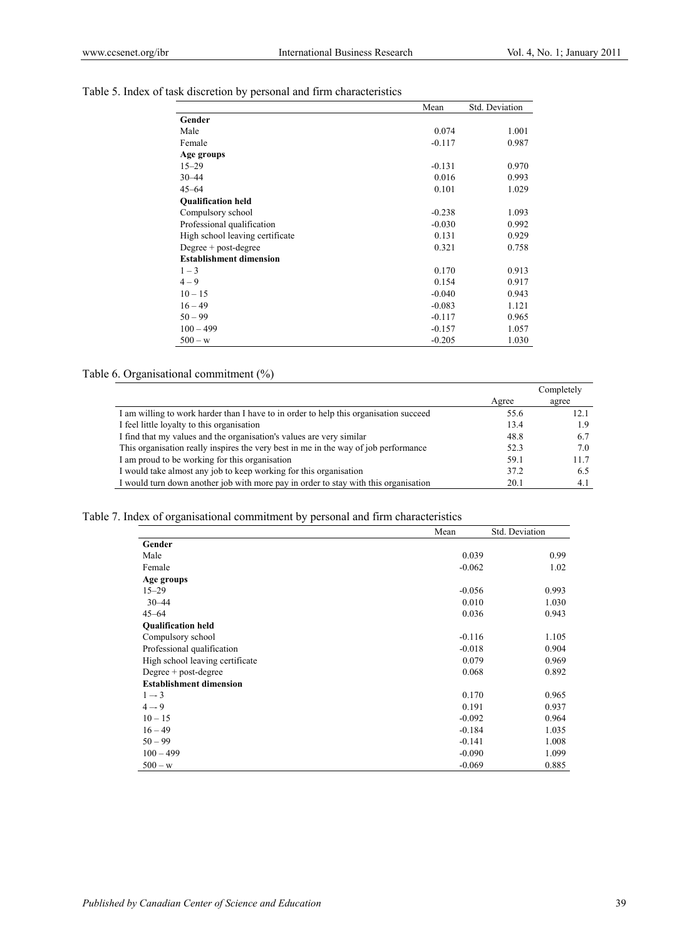Table 5. Index of task discretion by personal and firm characteristics

|                                 | Mean     | <b>Std. Deviation</b> |
|---------------------------------|----------|-----------------------|
| Gender                          |          |                       |
| Male                            | 0.074    | 1.001                 |
| Female                          | $-0.117$ | 0.987                 |
| Age groups                      |          |                       |
| $15 - 29$                       | $-0.131$ | 0.970                 |
| $30 - 44$                       | 0.016    | 0.993                 |
| $45 - 64$                       | 0.101    | 1.029                 |
| <b>Qualification held</b>       |          |                       |
| Compulsory school               | $-0.238$ | 1.093                 |
| Professional qualification      | $-0.030$ | 0.992                 |
| High school leaving certificate | 0.131    | 0.929                 |
| Degree $+$ post-degree          | 0.321    | 0.758                 |
| <b>Establishment dimension</b>  |          |                       |
| $1 - 3$                         | 0.170    | 0.913                 |
| $4 - 9$                         | 0.154    | 0.917                 |
| $10 - 15$                       | $-0.040$ | 0.943                 |
| $16 - 49$                       | $-0.083$ | 1.121                 |
| $50 - 99$                       | $-0.117$ | 0.965                 |
| $100 - 499$                     | $-0.157$ | 1.057                 |
| $500 - w$                       | $-0.205$ | 1.030                 |

## Table 6. Organisational commitment (%)

|                                                                                       |       | Completely |
|---------------------------------------------------------------------------------------|-------|------------|
|                                                                                       | Agree | agree      |
| I am willing to work harder than I have to in order to help this organisation succeed | 55.6  | 12.1       |
| I feel little loyalty to this organisation                                            | 13.4  | 1.9        |
| I find that my values and the organisation's values are very similar                  | 48.8  | 6.7        |
| This organisation really inspires the very best in me in the way of job performance   | 52.3  | 7.0        |
| I am proud to be working for this organisation                                        | 59.1  | 11.7       |
| I would take almost any job to keep working for this organisation                     | 37.2  | 6.5        |
| I would turn down another job with more pay in order to stay with this organisation   | 20.1  | 4.1        |

## Table 7. Index of organisational commitment by personal and firm characteristics

|                                 | Mean     | Std. Deviation |
|---------------------------------|----------|----------------|
| Gender                          |          |                |
| Male                            | 0.039    | 0.99           |
| Female                          | $-0.062$ | 1.02           |
| Age groups                      |          |                |
| $15 - 29$                       | $-0.056$ | 0.993          |
| $30 - 44$                       | 0.010    | 1.030          |
| $45 - 64$                       | 0.036    | 0.943          |
| <b>Oualification held</b>       |          |                |
| Compulsory school               | $-0.116$ | 1.105          |
| Professional qualification      | $-0.018$ | 0.904          |
| High school leaving certificate | 0.079    | 0.969          |
| Degree $+$ post-degree          | 0.068    | 0.892          |
| <b>Establishment dimension</b>  |          |                |
| $1 - 3$                         | 0.170    | 0.965          |
| $4 - 9$                         | 0.191    | 0.937          |
| $10 - 15$                       | $-0.092$ | 0.964          |
| $16 - 49$                       | $-0.184$ | 1.035          |
| $50 - 99$                       | $-0.141$ | 1.008          |
| $100 - 499$                     | $-0.090$ | 1.099          |
| $500 - w$                       | $-0.069$ | 0.885          |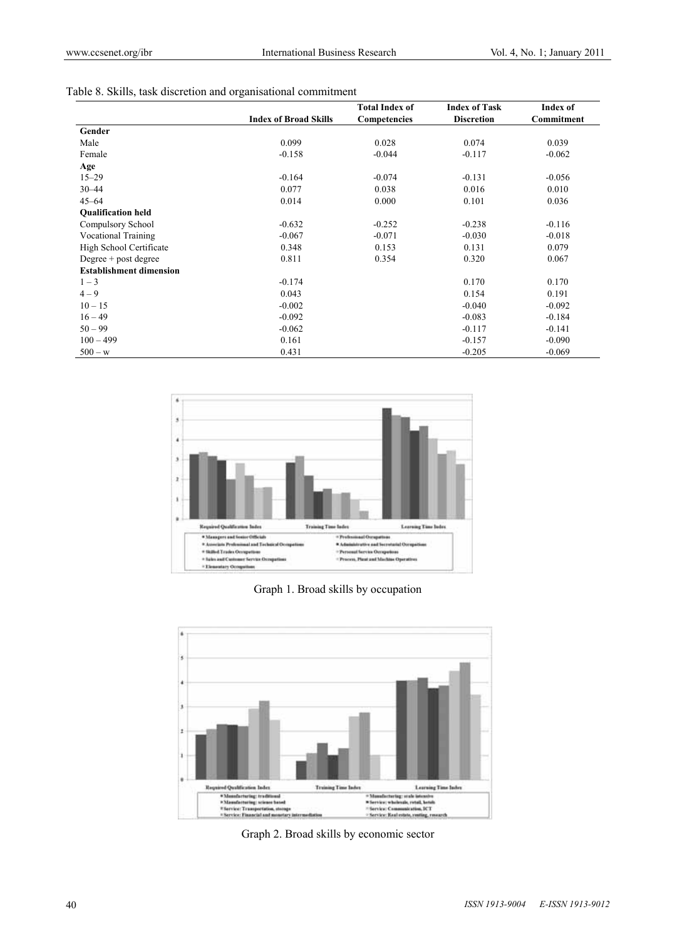|  |  | Table 8. Skills, task discretion and organisational commitment |  |
|--|--|----------------------------------------------------------------|--|
|  |  |                                                                |  |

|                                |                              | <b>Total Index of</b> | <b>Index of Task</b> | Index of   |
|--------------------------------|------------------------------|-----------------------|----------------------|------------|
|                                | <b>Index of Broad Skills</b> | Competencies          | <b>Discretion</b>    | Commitment |
| Gender                         |                              |                       |                      |            |
| Male                           | 0.099                        | 0.028                 | 0.074                | 0.039      |
| Female                         | $-0.158$                     | $-0.044$              | $-0.117$             | $-0.062$   |
| Age                            |                              |                       |                      |            |
| $15 - 29$                      | $-0.164$                     | $-0.074$              | $-0.131$             | $-0.056$   |
| $30 - 44$                      | 0.077                        | 0.038                 | 0.016                | 0.010      |
| $45 - 64$                      | 0.014                        | 0.000                 | 0.101                | 0.036      |
| <b>Oualification held</b>      |                              |                       |                      |            |
| Compulsory School              | $-0.632$                     | $-0.252$              | $-0.238$             | $-0.116$   |
| <b>Vocational Training</b>     | $-0.067$                     | $-0.071$              | $-0.030$             | $-0.018$   |
| High School Certificate        | 0.348                        | 0.153                 | 0.131                | 0.079      |
| Degree + post degree           | 0.811                        | 0.354                 | 0.320                | 0.067      |
| <b>Establishment dimension</b> |                              |                       |                      |            |
| $1 - 3$                        | $-0.174$                     |                       | 0.170                | 0.170      |
| $4 - 9$                        | 0.043                        |                       | 0.154                | 0.191      |
| $10 - 15$                      | $-0.002$                     |                       | $-0.040$             | $-0.092$   |
| $16 - 49$                      | $-0.092$                     |                       | $-0.083$             | $-0.184$   |
| $50 - 99$                      | $-0.062$                     |                       | $-0.117$             | $-0.141$   |
| $100 - 499$                    | 0.161                        |                       | $-0.157$             | $-0.090$   |
| $500 - w$                      | 0.431                        |                       | $-0.205$             | $-0.069$   |



Graph 1. Broad skills by occupation



Graph 2. Broad skills by economic sector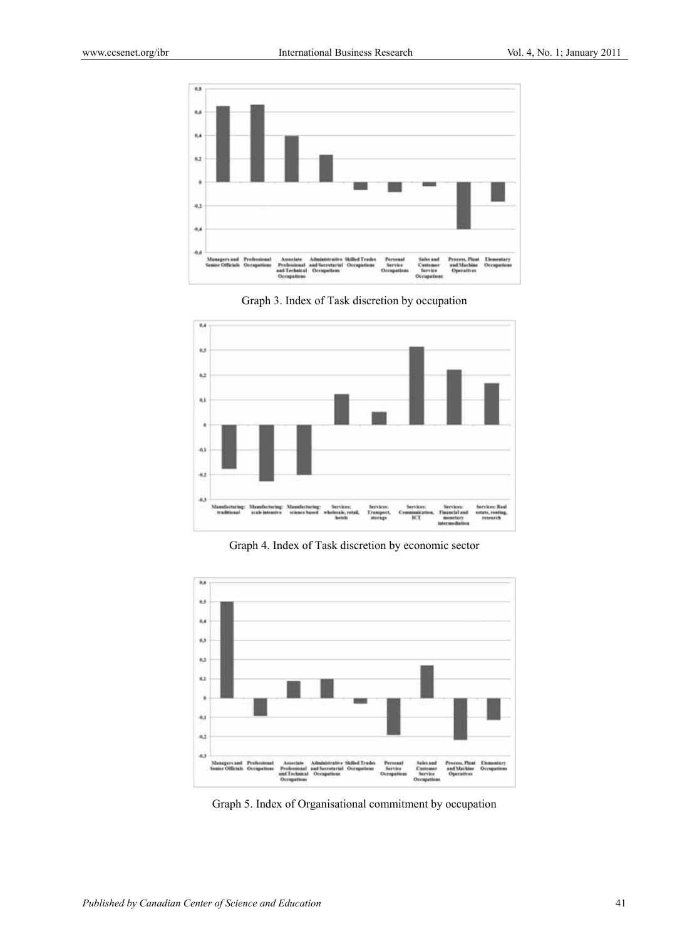





Graph 4. Index of Task discretion by economic sector



Graph 5. Index of Organisational commitment by occupation